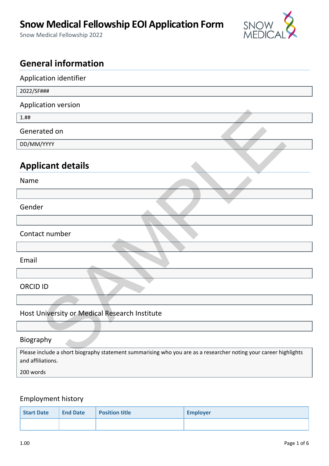# **Snow Medical Fellowship EOI Application Form**

Snow Medical Fellowship 2022



## **General information**

| Application identifier                                                                                           |
|------------------------------------------------------------------------------------------------------------------|
| 2022/SF###                                                                                                       |
| Application version                                                                                              |
| 1. ##                                                                                                            |
| Generated on                                                                                                     |
| DD/MM/YYYY                                                                                                       |
| <b>Applicant details</b>                                                                                         |
| Name                                                                                                             |
|                                                                                                                  |
| Gender                                                                                                           |
|                                                                                                                  |
| Contact number                                                                                                   |
|                                                                                                                  |
| Email                                                                                                            |
|                                                                                                                  |
| <b>ORCID ID</b>                                                                                                  |
|                                                                                                                  |
| Host University or Medical Research Institute                                                                    |
|                                                                                                                  |
| Biography                                                                                                        |
| Please include a short biography statement summarising who you are as a researcher noting your career highlights |

#### Biography

Please include a short biography statement summarising who you are as a researcher noting your career highlights and affiliations.

200 words

#### Employment history

| Start Date | <b>End Date</b> | <b>Position title</b> | <b>Employer</b> |
|------------|-----------------|-----------------------|-----------------|
|            |                 |                       |                 |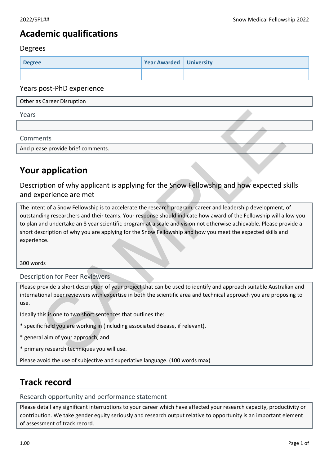### **Academic qualifications**

#### Degrees

| <b>Degree</b> | <b>Year Awarded   University</b> |  |
|---------------|----------------------------------|--|
|               |                                  |  |

#### Years post-PhD experience

| Other as Career Disruption                                                                                                                                                                                                                                                                                                                                                                                                                                                            |
|---------------------------------------------------------------------------------------------------------------------------------------------------------------------------------------------------------------------------------------------------------------------------------------------------------------------------------------------------------------------------------------------------------------------------------------------------------------------------------------|
| Years                                                                                                                                                                                                                                                                                                                                                                                                                                                                                 |
|                                                                                                                                                                                                                                                                                                                                                                                                                                                                                       |
| Comments                                                                                                                                                                                                                                                                                                                                                                                                                                                                              |
| And please provide brief comments.                                                                                                                                                                                                                                                                                                                                                                                                                                                    |
| <b>Your application</b>                                                                                                                                                                                                                                                                                                                                                                                                                                                               |
| Description of why applicant is applying for the Snow Fellowship and how expected skills<br>and experience are met                                                                                                                                                                                                                                                                                                                                                                    |
| The intent of a Snow Fellowship is to accelerate the research program, career and leadership development, of<br>outstanding researchers and their teams. Your response should indicate how award of the Fellowship will allow you<br>to plan and undertake an 8 year scientific program at a scale and vision not otherwise achievable. Please provide a<br>short description of why you are applying for the Snow Fellowship and how you meet the expected skills and<br>experience. |
| 300 words                                                                                                                                                                                                                                                                                                                                                                                                                                                                             |
| <b>Description for Peer Reviewers</b>                                                                                                                                                                                                                                                                                                                                                                                                                                                 |
| Please provide a short description of your project that can be used to identify and approach suitable Australian and<br>international peer reviewers with expertise in both the scientific area and technical approach you are proposing to<br>use.                                                                                                                                                                                                                                   |
| Ideally this is one to two short sentences that outlines the:                                                                                                                                                                                                                                                                                                                                                                                                                         |
| * specific field you are working in (including associated disease, if relevant),                                                                                                                                                                                                                                                                                                                                                                                                      |
| * general aim of your approach, and                                                                                                                                                                                                                                                                                                                                                                                                                                                   |
| * primary research techniques you will use.                                                                                                                                                                                                                                                                                                                                                                                                                                           |

## **Your application**

- \* specific field you are working in (including associated disease, if relevant),
- \* general aim of your approach, and
- \* primary research techniques you will use.

Please avoid the use of subjective and superlative language. (100 words max)

### **Track record**

Research opportunity and performance statement

Please detail any significant interruptions to your career which have affected your research capacity, productivity or contribution. We take gender equity seriously and research output relative to opportunity is an important element of assessment of track record.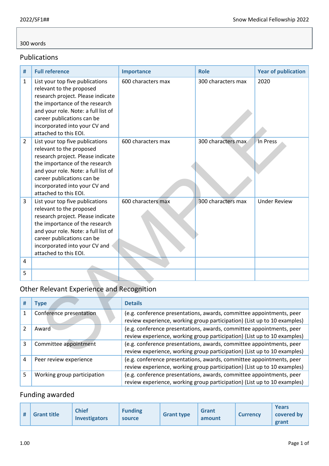#### 300 words

#### Publications

| #              | <b>Full reference</b>                                                                                                                                                                                                                                             | Importance                                                                                                                                       | <b>Role</b>        | <b>Year of publication</b> |  |  |
|----------------|-------------------------------------------------------------------------------------------------------------------------------------------------------------------------------------------------------------------------------------------------------------------|--------------------------------------------------------------------------------------------------------------------------------------------------|--------------------|----------------------------|--|--|
| 1              | List your top five publications<br>relevant to the proposed<br>research project. Please indicate<br>the importance of the research<br>and your role. Note: a full list of<br>career publications can be<br>incorporated into your CV and<br>attached to this EOI. | 600 characters max                                                                                                                               | 300 characters max | 2020                       |  |  |
| $\overline{2}$ | List your top five publications<br>relevant to the proposed<br>research project. Please indicate<br>the importance of the research<br>and your role. Note: a full list of<br>career publications can be<br>incorporated into your CV and<br>attached to this EOI. | 600 characters max                                                                                                                               | 300 characters max | In Press                   |  |  |
| 3              | List your top five publications<br>relevant to the proposed<br>research project. Please indicate<br>the importance of the research<br>and your role. Note: a full list of<br>career publications can be<br>incorporated into your CV and<br>attached to this EOI. | 600 characters max                                                                                                                               | 300 characters max | <b>Under Review</b>        |  |  |
| 4              |                                                                                                                                                                                                                                                                   |                                                                                                                                                  |                    |                            |  |  |
| 5              |                                                                                                                                                                                                                                                                   |                                                                                                                                                  |                    |                            |  |  |
|                | <b>Other Relevant Experience and Recognition</b>                                                                                                                                                                                                                  |                                                                                                                                                  |                    |                            |  |  |
| #              | <b>Type</b>                                                                                                                                                                                                                                                       | <b>Details</b>                                                                                                                                   |                    |                            |  |  |
| 1              | Conference presentation                                                                                                                                                                                                                                           | (e.g. conference presentations, awards, committee appointments, peer<br>review experience, working group participation) (List up to 10 examples) |                    |                            |  |  |
| $\overline{2}$ | Award                                                                                                                                                                                                                                                             | (e.g. conference presentations, awards, committee appointments, peer<br>review experience, working group participation) (List up to 10 examples) |                    |                            |  |  |
| 3              | Committee appointment                                                                                                                                                                                                                                             | (e.g. conference presentations, awards, committee appointments, peer<br>review experience, working group participation) (List up to 10 examples) |                    |                            |  |  |

### Other Relevant Experience and Recognition

| # | <b>Type</b>                 | <b>Details</b>                                                                                                                                   |
|---|-----------------------------|--------------------------------------------------------------------------------------------------------------------------------------------------|
|   | Conference presentation     | (e.g. conference presentations, awards, committee appointments, peer<br>review experience, working group participation) (List up to 10 examples) |
|   | Award                       | (e.g. conference presentations, awards, committee appointments, peer<br>review experience, working group participation) (List up to 10 examples) |
| 3 | Committee appointment       | (e.g. conference presentations, awards, committee appointments, peer<br>review experience, working group participation) (List up to 10 examples) |
| 4 | Peer review experience      | (e.g. conference presentations, awards, committee appointments, peer<br>review experience, working group participation) (List up to 10 examples) |
|   | Working group participation | (e.g. conference presentations, awards, committee appointments, peer<br>review experience, working group participation) (List up to 10 examples) |

### Funding awarded

| # | <b>Grant title</b> | <b>Chief</b><br><b>Investigators</b> | <b>Funding</b><br>source | <b>Grant type</b> | <b>Grant</b><br>amount | <b>Currency</b> | Years<br>covered by<br>grant |
|---|--------------------|--------------------------------------|--------------------------|-------------------|------------------------|-----------------|------------------------------|
|---|--------------------|--------------------------------------|--------------------------|-------------------|------------------------|-----------------|------------------------------|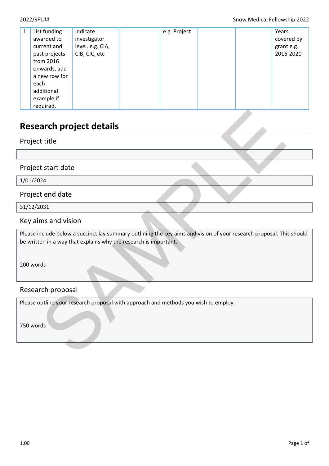| 1 | List funding<br>awarded to<br>current and<br>past projects<br>from 2016<br>onwards, add<br>a new row for<br>each<br>additional | Indicate<br>investigator<br>level. e.g. CIA,<br>CIB, CIC, etc | e.g. Project |  | Years<br>covered by<br>grant e.g.<br>2016-2020 |
|---|--------------------------------------------------------------------------------------------------------------------------------|---------------------------------------------------------------|--------------|--|------------------------------------------------|
|   | example if<br>required.                                                                                                        |                                                               |              |  |                                                |

## **Research project details**

Project title

Project start date

1/01/2024

Project end date

31/12/2031

Key aims and vision

Please include below a succinct lay summary outlining the key aims and vision of your research proposal. This should be written in a way that explains why the research is important. arch project details<br>
It title<br>
It start date<br>
124<br>
It end date<br>
1331<br>
Ims and vision<br>
main a way that explains why the research is important.<br>
There is a way that explains why the research is important.<br>
The proposal<br>
It

200 words

#### Research proposal

Please outline your research proposal with approach and methods you wish to employ.

750 words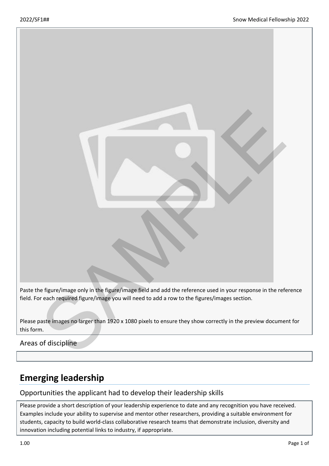

field. For each required figure/image you will need to add a row to the figures/images section.

Please paste images no larger than 1920 x 1080 pixels to ensure they show correctly in the preview document for this form.

Areas of discipline

## **Emerging leadership**

#### Opportunities the applicant had to develop their leadership skills

Please provide a short description of your leadership experience to date and any recognition you have received. Examples include your ability to supervise and mentor other researchers, providing a suitable environment for students, capacity to build world-class collaborative research teams that demonstrate inclusion, diversity and innovation including potential links to industry, if appropriate.